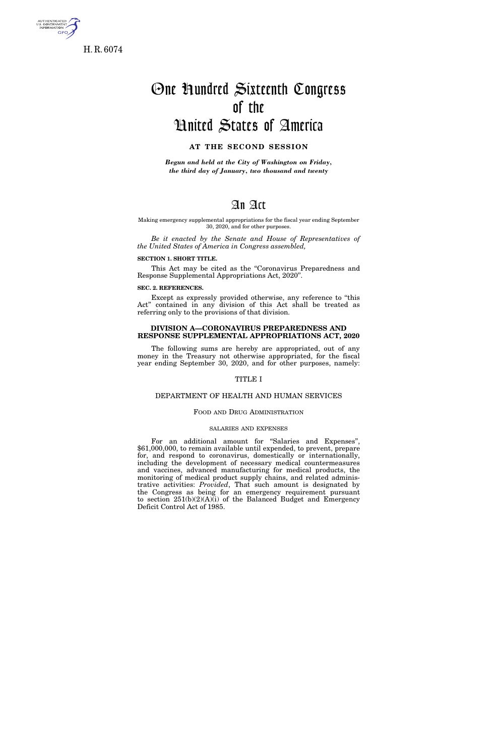

H. R. 6074

# One Hundred Sixteenth Congress of the United States of America

## **AT THE SECOND SESSION**

*Begun and held at the City of Washington on Friday, the third day of January, two thousand and twenty* 

## An Act

#### Making emergency supplemental appropriations for the fiscal year ending September 30, 2020, and for other purposes.

*Be it enacted by the Senate and House of Representatives of the United States of America in Congress assembled,* 

## **SECTION 1. SHORT TITLE.**

This Act may be cited as the "Coronavirus Preparedness and Response Supplemental Appropriations Act, 2020''.

## **SEC. 2. REFERENCES.**

Except as expressly provided otherwise, any reference to ''this Act'' contained in any division of this Act shall be treated as referring only to the provisions of that division.

## **DIVISION A—CORONAVIRUS PREPAREDNESS AND RESPONSE SUPPLEMENTAL APPROPRIATIONS ACT, 2020**

The following sums are hereby are appropriated, out of any money in the Treasury not otherwise appropriated, for the fiscal year ending September 30, 2020, and for other purposes, namely:

## TITLE I

## DEPARTMENT OF HEALTH AND HUMAN SERVICES

## FOOD AND DRUG ADMINISTRATION

#### SALARIES AND EXPENSES

For an additional amount for "Salaries and Expenses", \$61,000,000, to remain available until expended, to prevent, prepare for, and respond to coronavirus, domestically or internationally, including the development of necessary medical countermeasures and vaccines, advanced manufacturing for medical products, the monitoring of medical product supply chains, and related administrative activities: *Provided*, That such amount is designated by the Congress as being for an emergency requirement pursuant to section 251(b)(2)(A)(i) of the Balanced Budget and Emergency Deficit Control Act of 1985.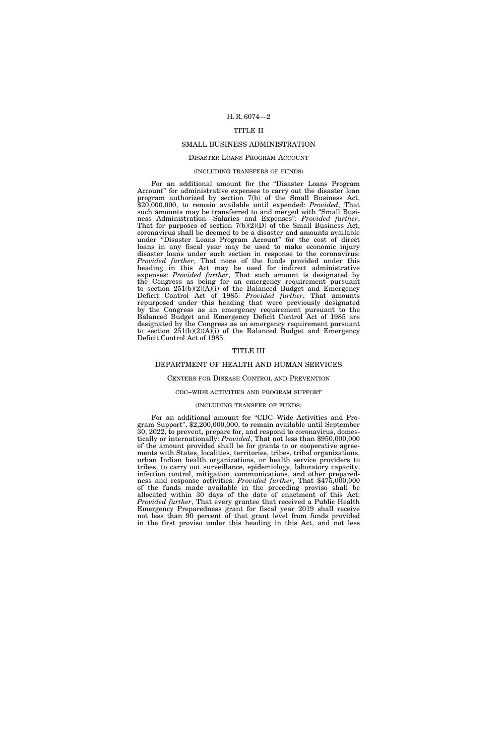## TITLE II

## SMALL BUSINESS ADMINISTRATION

## DISASTER LOANS PROGRAM ACCOUNT

#### (INCLUDING TRANSFERS OF FUNDS)

For an additional amount for the ''Disaster Loans Program Account'' for administrative expenses to carry out the disaster loan program authorized by section 7(b) of the Small Business Act, \$20,000,000, to remain available until expended: *Provided*, That such amounts may be transferred to and merged with ''Small Business Administration—Salaries and Expenses'': *Provided further*, That for purposes of section  $7(b)(2)(D)$  of the Small Business Act, coronavirus shall be deemed to be a disaster and amounts available under ''Disaster Loans Program Account'' for the cost of direct loans in any fiscal year may be used to make economic injury disaster loans under such section in response to the coronavirus: *Provided further*, That none of the funds provided under this heading in this Act may be used for indirect administrative expenses: *Provided further*, That such amount is designated by the Congress as being for an emergency requirement pursuant to section 251(b)(2)(A)(i) of the Balanced Budget and Emergency Deficit Control Act of 1985: *Provided further*, That amounts repurposed under this heading that were previously designated by the Congress as an emergency requirement pursuant to the Balanced Budget and Emergency Deficit Control Act of 1985 are designated by the Congress as an emergency requirement pursuant to section  $251(b)(2)(A)(i)$  of the Balanced Budget and Emergency Deficit Control Act of 1985.

## TITLE III

## DEPARTMENT OF HEALTH AND HUMAN SERVICES

## CENTERS FOR DISEASE CONTROL AND PREVENTION

## CDC–WIDE ACTIVITIES AND PROGRAM SUPPORT

## (INCLUDING TRANSFER OF FUNDS)

For an additional amount for "CDC–Wide Activities and Program Support'', \$2,200,000,000, to remain available until September 30, 2022, to prevent, prepare for, and respond to coronavirus, domestically or internationally: *Provided*, That not less than \$950,000,000 of the amount provided shall be for grants to or cooperative agreements with States, localities, territories, tribes, tribal organizations, urban Indian health organizations, or health service providers to tribes, to carry out surveillance, epidemiology, laboratory capacity, infection control, mitigation, communications, and other preparedness and response activities: *Provided further*, That \$475,000,000 of the funds made available in the preceding proviso shall be allocated within 30 days of the date of enactment of this Act: *Provided further*, That every grantee that received a Public Health Emergency Preparedness grant for fiscal year 2019 shall receive not less than 90 percent of that grant level from funds provided in the first proviso under this heading in this Act, and not less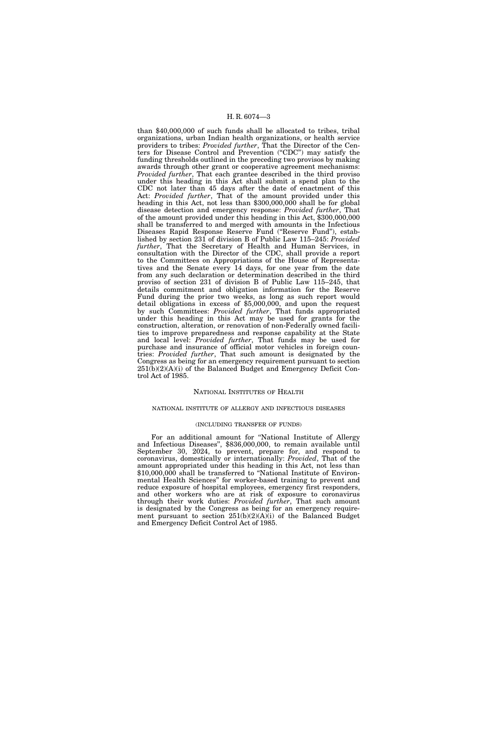than \$40,000,000 of such funds shall be allocated to tribes, tribal organizations, urban Indian health organizations, or health service providers to tribes: *Provided further*, That the Director of the Centers for Disease Control and Prevention ("CDC") may satisfy the funding thresholds outlined in the preceding two provisos by making awards through other grant or cooperative agreement mechanisms: *Provided further*, That each grantee described in the third proviso under this heading in this Act shall submit a spend plan to the CDC not later than 45 days after the date of enactment of this Act: *Provided further*, That of the amount provided under this heading in this Act, not less than \$300,000,000 shall be for global disease detection and emergency response: *Provided further*, That of the amount provided under this heading in this Act, \$300,000,000 shall be transferred to and merged with amounts in the Infectious Diseases Rapid Response Reserve Fund (''Reserve Fund''), established by section 231 of division B of Public Law 115–245: *Provided further*, That the Secretary of Health and Human Services, in consultation with the Director of the CDC, shall provide a report to the Committees on Appropriations of the House of Representatives and the Senate every 14 days, for one year from the date from any such declaration or determination described in the third proviso of section 231 of division B of Public Law 115–245, that details commitment and obligation information for the Reserve Fund during the prior two weeks, as long as such report would detail obligations in excess of \$5,000,000, and upon the request by such Committees: *Provided further*, That funds appropriated under this heading in this Act may be used for grants for the construction, alteration, or renovation of non-Federally owned facilities to improve preparedness and response capability at the State and local level: *Provided further*, That funds may be used for purchase and insurance of official motor vehicles in foreign countries: *Provided further*, That such amount is designated by the Congress as being for an emergency requirement pursuant to section  $251(b)(2)(A)(i)$  of the Balanced Budget and Emergency Deficit Control Act of 1985.

#### NATIONAL INSTITUTES OF HEALTH

## NATIONAL INSTITUTE OF ALLERGY AND INFECTIOUS DISEASES

#### (INCLUDING TRANSFER OF FUNDS)

For an additional amount for ''National Institute of Allergy and Infectious Diseases'', \$836,000,000, to remain available until September 30, 2024, to prevent, prepare for, and respond to coronavirus, domestically or internationally: *Provided*, That of the amount appropriated under this heading in this Act, not less than \$10,000,000 shall be transferred to "National Institute of Environmental Health Sciences'' for worker-based training to prevent and reduce exposure of hospital employees, emergency first responders, and other workers who are at risk of exposure to coronavirus through their work duties: *Provided further*, That such amount is designated by the Congress as being for an emergency requirement pursuant to section 251(b)(2)(A)(i) of the Balanced Budget and Emergency Deficit Control Act of 1985.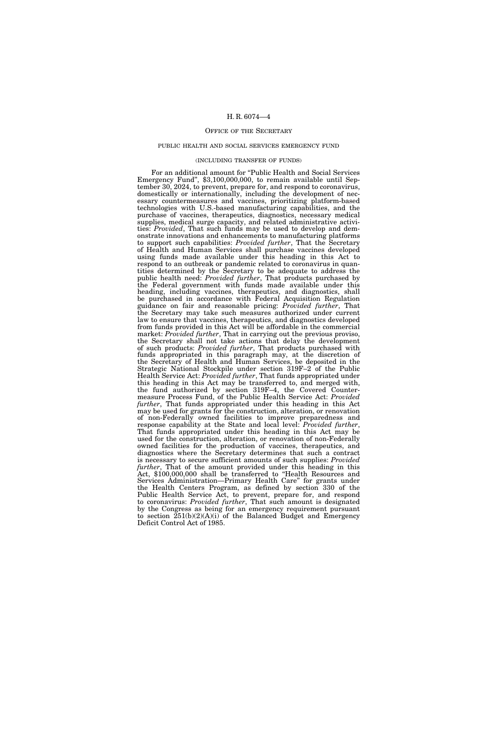#### OFFICE OF THE SECRETARY

#### PUBLIC HEALTH AND SOCIAL SERVICES EMERGENCY FUND

#### (INCLUDING TRANSFER OF FUNDS)

For an additional amount for "Public Health and Social Services Emergency Fund'', \$3,100,000,000, to remain available until September 30, 2024, to prevent, prepare for, and respond to coronavirus, domestically or internationally, including the development of necessary countermeasures and vaccines, prioritizing platform-based technologies with U.S.-based manufacturing capabilities, and the purchase of vaccines, therapeutics, diagnostics, necessary medical supplies, medical surge capacity, and related administrative activities: *Provided*, That such funds may be used to develop and demonstrate innovations and enhancements to manufacturing platforms to support such capabilities: *Provided further*, That the Secretary of Health and Human Services shall purchase vaccines developed using funds made available under this heading in this Act to respond to an outbreak or pandemic related to coronavirus in quantities determined by the Secretary to be adequate to address the public health need: *Provided further*, That products purchased by the Federal government with funds made available under this heading, including vaccines, therapeutics, and diagnostics, shall be purchased in accordance with Federal Acquisition Regulation guidance on fair and reasonable pricing: *Provided further*, That the Secretary may take such measures authorized under current law to ensure that vaccines, therapeutics, and diagnostics developed from funds provided in this Act will be affordable in the commercial market: *Provided further*, That in carrying out the previous proviso, the Secretary shall not take actions that delay the development of such products: *Provided further*, That products purchased with funds appropriated in this paragraph may, at the discretion of the Secretary of Health and Human Services, be deposited in the Strategic National Stockpile under section 319F–2 of the Public Health Service Act: *Provided further*, That funds appropriated under this heading in this Act may be transferred to, and merged with, the fund authorized by section 319F–4, the Covered Countermeasure Process Fund, of the Public Health Service Act: *Provided further*, That funds appropriated under this heading in this Act may be used for grants for the construction, alteration, or renovation of non-Federally owned facilities to improve preparedness and response capability at the State and local level: *Provided further*, That funds appropriated under this heading in this Act may be used for the construction, alteration, or renovation of non-Federally owned facilities for the production of vaccines, therapeutics, and diagnostics where the Secretary determines that such a contract is necessary to secure sufficient amounts of such supplies: *Provided further*, That of the amount provided under this heading in this Act, \$100,000,000 shall be transferred to ''Health Resources and Services Administration—Primary Health Care'' for grants under the Health Centers Program, as defined by section 330 of the Public Health Service Act, to prevent, prepare for, and respond to coronavirus: *Provided further*, That such amount is designated by the Congress as being for an emergency requirement pursuant to section 251(b)(2)(A)(i) of the Balanced Budget and Emergency Deficit Control Act of 1985.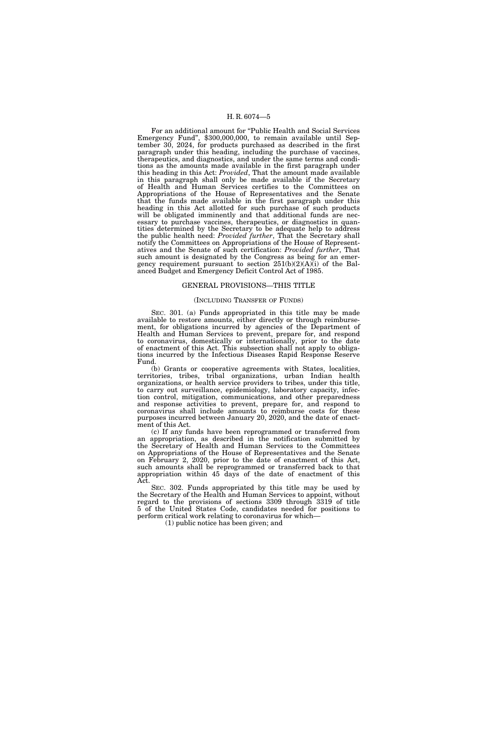For an additional amount for ''Public Health and Social Services Emergency Fund'', \$300,000,000, to remain available until September 30, 2024, for products purchased as described in the first paragraph under this heading, including the purchase of vaccines, therapeutics, and diagnostics, and under the same terms and conditions as the amounts made available in the first paragraph under this heading in this Act: *Provided*, That the amount made available in this paragraph shall only be made available if the Secretary of Health and Human Services certifies to the Committees on Appropriations of the House of Representatives and the Senate that the funds made available in the first paragraph under this heading in this Act allotted for such purchase of such products will be obligated imminently and that additional funds are necessary to purchase vaccines, therapeutics, or diagnostics in quantities determined by the Secretary to be adequate help to address the public health need: *Provided further*, That the Secretary shall notify the Committees on Appropriations of the House of Representatives and the Senate of such certification: *Provided further*, That such amount is designated by the Congress as being for an emergency requirement pursuant to section  $251(b)(2)(A)(i)$  of the Balanced Budget and Emergency Deficit Control Act of 1985.

## GENERAL PROVISIONS—THIS TITLE

#### (INCLUDING TRANSFER OF FUNDS)

SEC. 301. (a) Funds appropriated in this title may be made available to restore amounts, either directly or through reimbursement, for obligations incurred by agencies of the Department of Health and Human Services to prevent, prepare for, and respond to coronavirus, domestically or internationally, prior to the date of enactment of this Act. This subsection shall not apply to obligations incurred by the Infectious Diseases Rapid Response Reserve Fund.

(b) Grants or cooperative agreements with States, localities, territories, tribes, tribal organizations, urban Indian health organizations, or health service providers to tribes, under this title, to carry out surveillance, epidemiology, laboratory capacity, infection control, mitigation, communications, and other preparedness and response activities to prevent, prepare for, and respond to coronavirus shall include amounts to reimburse costs for these purposes incurred between January 20, 2020, and the date of enactment of this Act.

(c) If any funds have been reprogrammed or transferred from an appropriation, as described in the notification submitted by the Secretary of Health and Human Services to the Committees on Appropriations of the House of Representatives and the Senate on February 2, 2020, prior to the date of enactment of this Act, such amounts shall be reprogrammed or transferred back to that appropriation within 45 days of the date of enactment of this Act.

SEC. 302. Funds appropriated by this title may be used by the Secretary of the Health and Human Services to appoint, without regard to the provisions of sections 3309 through 3319 of title 5 of the United States Code, candidates needed for positions to perform critical work relating to coronavirus for which—

(1) public notice has been given; and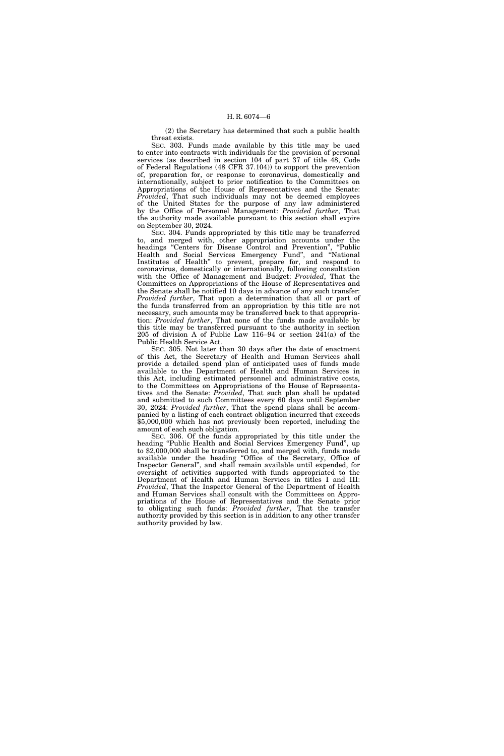(2) the Secretary has determined that such a public health threat exists.

SEC. 303. Funds made available by this title may be used to enter into contracts with individuals for the provision of personal services (as described in section 104 of part 37 of title 48, Code of Federal Regulations (48 CFR 37.104)) to support the prevention of, preparation for, or response to coronavirus, domestically and internationally, subject to prior notification to the Committees on Appropriations of the House of Representatives and the Senate: *Provided*, That such individuals may not be deemed employees of the United States for the purpose of any law administered by the Office of Personnel Management: *Provided further*, That the authority made available pursuant to this section shall expire on September 30, 2024.

SEC. 304. Funds appropriated by this title may be transferred to, and merged with, other appropriation accounts under the headings ''Centers for Disease Control and Prevention'', ''Public Health and Social Services Emergency Fund'', and ''National Institutes of Health'' to prevent, prepare for, and respond to coronavirus, domestically or internationally, following consultation with the Office of Management and Budget: *Provided*, That the Committees on Appropriations of the House of Representatives and the Senate shall be notified 10 days in advance of any such transfer: *Provided further*, That upon a determination that all or part of the funds transferred from an appropriation by this title are not necessary, such amounts may be transferred back to that appropriation: *Provided further*, That none of the funds made available by this title may be transferred pursuant to the authority in section 205 of division A of Public Law 116–94 or section 241(a) of the Public Health Service Act.

SEC. 305. Not later than 30 days after the date of enactment of this Act, the Secretary of Health and Human Services shall provide a detailed spend plan of anticipated uses of funds made available to the Department of Health and Human Services in this Act, including estimated personnel and administrative costs, to the Committees on Appropriations of the House of Representatives and the Senate: *Provided*, That such plan shall be updated and submitted to such Committees every 60 days until September 30, 2024: *Provided further*, That the spend plans shall be accompanied by a listing of each contract obligation incurred that exceeds \$5,000,000 which has not previously been reported, including the amount of each such obligation.

SEC. 306. Of the funds appropriated by this title under the heading "Public Health and Social Services Emergency Fund", up to \$2,000,000 shall be transferred to, and merged with, funds made available under the heading ''Office of the Secretary, Office of Inspector General'', and shall remain available until expended, for oversight of activities supported with funds appropriated to the Department of Health and Human Services in titles I and III: *Provided*, That the Inspector General of the Department of Health and Human Services shall consult with the Committees on Appropriations of the House of Representatives and the Senate prior to obligating such funds: *Provided further*, That the transfer authority provided by this section is in addition to any other transfer authority provided by law.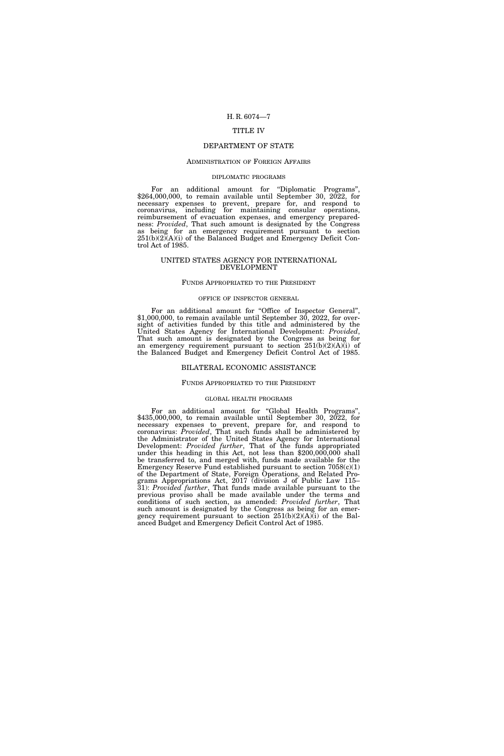## TITLE IV

## DEPARTMENT OF STATE

#### ADMINISTRATION OF FOREIGN AFFAIRS

## DIPLOMATIC PROGRAMS

For an additional amount for ''Diplomatic Programs'', \$264,000,000, to remain available until September 30, 2022, for necessary expenses to prevent, prepare for, and respond to coronavirus, including for maintaining consular operations, reimbursement of evacuation expenses, and emergency preparedness: *Provided*, That such amount is designated by the Congress as being for an emergency requirement pursuant to section 251(b)(2)(A)(i) of the Balanced Budget and Emergency Deficit Control Act of 1985.

#### UNITED STATES AGENCY FOR INTERNATIONAL DEVELOPMENT

## FUNDS APPROPRIATED TO THE PRESIDENT

#### OFFICE OF INSPECTOR GENERAL

For an additional amount for "Office of Inspector General", \$1,000,000, to remain available until September 30, 2022, for oversight of activities funded by this title and administered by the United States Agency for International Development: *Provided*, That such amount is designated by the Congress as being for an emergency requirement pursuant to section  $251(b)(2)(A)(i)$  of the Balanced Budget and Emergency Deficit Control Act of 1985.

#### BILATERAL ECONOMIC ASSISTANCE

#### FUNDS APPROPRIATED TO THE PRESIDENT

#### GLOBAL HEALTH PROGRAMS

For an additional amount for "Global Health Programs", \$435,000,000, to remain available until September 30, 2022, for necessary expenses to prevent, prepare for, and respond to coronavirus: *Provided*, That such funds shall be administered by the Administrator of the United States Agency for International Development: *Provided further*, That of the funds appropriated under this heading in this Act, not less than \$200,000,000 shall be transferred to, and merged with, funds made available for the Emergency Reserve Fund established pursuant to section  $7058(c)(1)$ of the Department of State, Foreign Operations, and Related Programs Appropriations Act, 2017 (division J of Public Law 115– 31): *Provided further*, That funds made available pursuant to the previous proviso shall be made available under the terms and conditions of such section, as amended: *Provided further*, That such amount is designated by the Congress as being for an emergency requirement pursuant to section 251(b)(2)(A)(i) of the Balanced Budget and Emergency Deficit Control Act of 1985.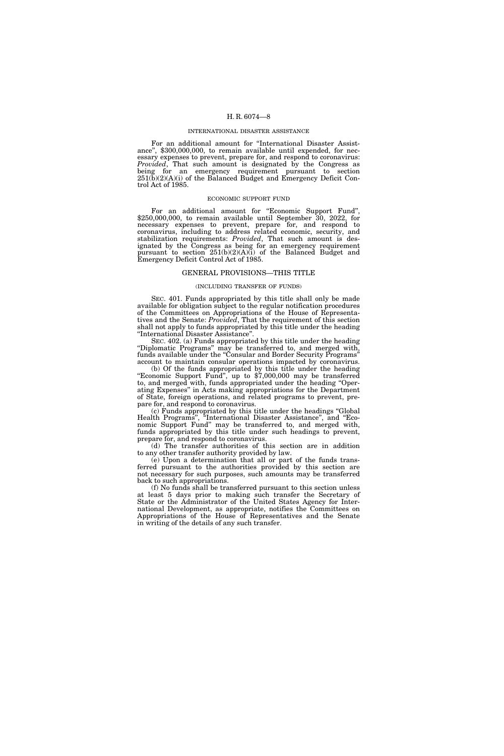#### INTERNATIONAL DISASTER ASSISTANCE

For an additional amount for "International Disaster Assistance", \$300,000,000, to remain available until expended, for necessary expenses to prevent, prepare for, and respond to coronavirus: *Provided*, That such amount is designated by the Congress as being for an emergency requirement pursuant to section 251(b)(2)(A)(i) of the Balanced Budget and Emergency Deficit Control Act of 1985.

#### ECONOMIC SUPPORT FUND

For an additional amount for "Economic Support Fund", \$250,000,000, to remain available until September 30, 2022, for necessary expenses to prevent, prepare for, and respond to coronavirus, including to address related economic, security, and stabilization requirements: *Provided*, That such amount is designated by the Congress as being for an emergency requirement pursuant to section 251(b)(2)(A)(i) of the Balanced Budget and Emergency Deficit Control Act of 1985.

#### GENERAL PROVISIONS—THIS TITLE

#### (INCLUDING TRANSFER OF FUNDS)

SEC. 401. Funds appropriated by this title shall only be made available for obligation subject to the regular notification procedures of the Committees on Appropriations of the House of Representatives and the Senate: *Provided*, That the requirement of this section shall not apply to funds appropriated by this title under the heading ''International Disaster Assistance''.

SEC. 402. (a) Funds appropriated by this title under the heading ''Diplomatic Programs'' may be transferred to, and merged with, funds available under the "Consular and Border Security Programs" account to maintain consular operations impacted by coronavirus.

(b) Of the funds appropriated by this title under the heading ''Economic Support Fund'', up to \$7,000,000 may be transferred to, and merged with, funds appropriated under the heading ''Operating Expenses'' in Acts making appropriations for the Department of State, foreign operations, and related programs to prevent, prepare for, and respond to coronavirus.

(c) Funds appropriated by this title under the headings ''Global Health Programs'', ''International Disaster Assistance'', and ''Economic Support Fund'' may be transferred to, and merged with, funds appropriated by this title under such headings to prevent, prepare for, and respond to coronavirus.

(d) The transfer authorities of this section are in addition to any other transfer authority provided by law.

(e) Upon a determination that all or part of the funds transferred pursuant to the authorities provided by this section are not necessary for such purposes, such amounts may be transferred back to such appropriations.

(f) No funds shall be transferred pursuant to this section unless at least 5 days prior to making such transfer the Secretary of State or the Administrator of the United States Agency for International Development, as appropriate, notifies the Committees on Appropriations of the House of Representatives and the Senate in writing of the details of any such transfer.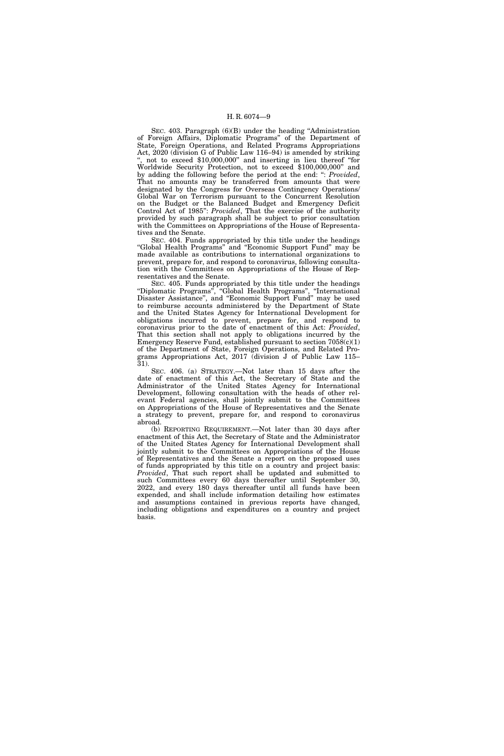SEC. 403. Paragraph (6)(B) under the heading "Administration of Foreign Affairs, Diplomatic Programs'' of the Department of State, Foreign Operations, and Related Programs Appropriations Act, 2020 (division G of Public Law 116–94) is amended by striking not to exceed \$10,000,000" and inserting in lieu thereof "for Worldwide Security Protection, not to exceed \$100,000,000'' and by adding the following before the period at the end: '': *Provided*, That no amounts may be transferred from amounts that were designated by the Congress for Overseas Contingency Operations/ Global War on Terrorism pursuant to the Concurrent Resolution on the Budget or the Balanced Budget and Emergency Deficit Control Act of 1985'': *Provided*, That the exercise of the authority provided by such paragraph shall be subject to prior consultation with the Committees on Appropriations of the House of Representatives and the Senate.

SEC. 404. Funds appropriated by this title under the headings ''Global Health Programs'' and ''Economic Support Fund'' may be made available as contributions to international organizations to prevent, prepare for, and respond to coronavirus, following consultation with the Committees on Appropriations of the House of Representatives and the Senate.

SEC. 405. Funds appropriated by this title under the headings ''Diplomatic Programs'', ''Global Health Programs'', ''International Disaster Assistance'', and ''Economic Support Fund'' may be used to reimburse accounts administered by the Department of State and the United States Agency for International Development for obligations incurred to prevent, prepare for, and respond to coronavirus prior to the date of enactment of this Act: *Provided*, That this section shall not apply to obligations incurred by the Emergency Reserve Fund, established pursuant to section  $7058(c)(1)$ of the Department of State, Foreign Operations, and Related Programs Appropriations Act, 2017 (division J of Public Law 115– 31).

SEC. 406. (a) STRATEGY.—Not later than 15 days after the date of enactment of this Act, the Secretary of State and the Administrator of the United States Agency for International Development, following consultation with the heads of other relevant Federal agencies, shall jointly submit to the Committees on Appropriations of the House of Representatives and the Senate a strategy to prevent, prepare for, and respond to coronavirus abroad.

(b) REPORTING REQUIREMENT.—Not later than 30 days after enactment of this Act, the Secretary of State and the Administrator of the United States Agency for International Development shall jointly submit to the Committees on Appropriations of the House of Representatives and the Senate a report on the proposed uses of funds appropriated by this title on a country and project basis: *Provided*, That such report shall be updated and submitted to such Committees every 60 days thereafter until September 30, 2022, and every 180 days thereafter until all funds have been expended, and shall include information detailing how estimates and assumptions contained in previous reports have changed, including obligations and expenditures on a country and project basis.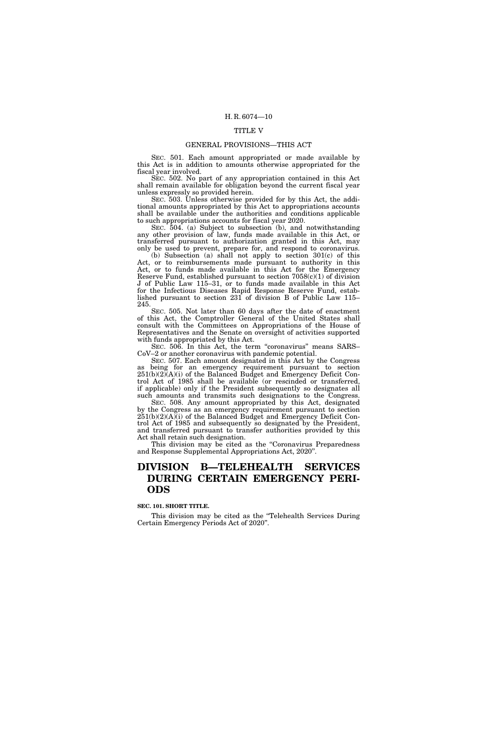## TITLE V

## GENERAL PROVISIONS—THIS ACT

SEC. 501. Each amount appropriated or made available by this Act is in addition to amounts otherwise appropriated for the fiscal year involved.

SEC. 502. No part of any appropriation contained in this Act shall remain available for obligation beyond the current fiscal year unless expressly so provided herein.

SEC. 503. Unless otherwise provided for by this Act, the additional amounts appropriated by this Act to appropriations accounts shall be available under the authorities and conditions applicable to such appropriations accounts for fiscal year 2020.

SEC. 504. (a) Subject to subsection (b), and notwithstanding any other provision of law, funds made available in this Act, or transferred pursuant to authorization granted in this Act, may only be used to prevent, prepare for, and respond to coronavirus.

(b) Subsection (a) shall not apply to section 301(c) of this Act, or to reimbursements made pursuant to authority in this Act, or to funds made available in this Act for the Emergency Reserve Fund, established pursuant to section 7058(c)(1) of division J of Public Law 115–31, or to funds made available in this Act for the Infectious Diseases Rapid Response Reserve Fund, established pursuant to section 231 of division B of Public Law 115– 245.

SEC. 505. Not later than 60 days after the date of enactment of this Act, the Comptroller General of the United States shall consult with the Committees on Appropriations of the House of Representatives and the Senate on oversight of activities supported with funds appropriated by this Act.

SEC. 506. In this Act, the term "coronavirus" means SARS– CoV–2 or another coronavirus with pandemic potential.

SEC. 507. Each amount designated in this Act by the Congress as being for an emergency requirement pursuant to section 251(b)(2)(A)(i) of the Balanced Budget and Emergency Deficit Control Act of 1985 shall be available (or rescinded or transferred, if applicable) only if the President subsequently so designates all such amounts and transmits such designations to the Congress.

SEC. 508. Any amount appropriated by this Act, designated by the Congress as an emergency requirement pursuant to section  $251(b)(2)(A)(i)$  of the Balanced Budget and Emergency Deficit Control Act of 1985 and subsequently so designated by the President, and transferred pursuant to transfer authorities provided by this Act shall retain such designation.

This division may be cited as the "Coronavirus Preparedness and Response Supplemental Appropriations Act, 2020''.

## **DIVISION B—TELEHEALTH SERVICES DURING CERTAIN EMERGENCY PERI-ODS**

## **SEC. 101. SHORT TITLE.**

This division may be cited as the "Telehealth Services During Certain Emergency Periods Act of 2020''.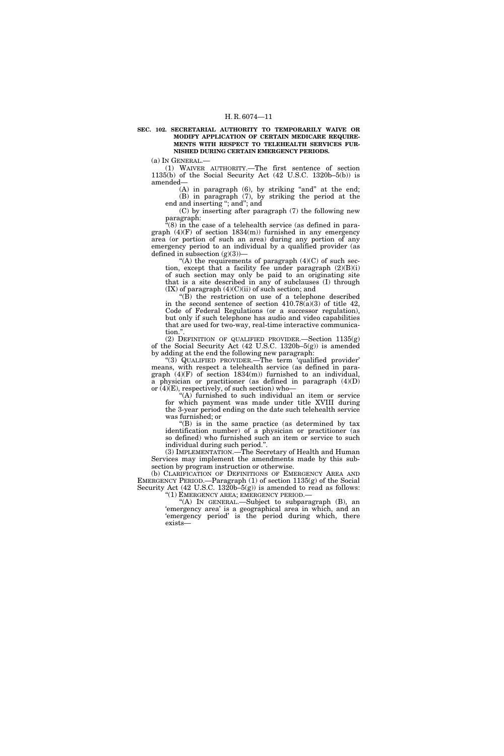#### **SEC. 102. SECRETARIAL AUTHORITY TO TEMPORARILY WAIVE OR MODIFY APPLICATION OF CERTAIN MEDICARE REQUIRE-MENTS WITH RESPECT TO TELEHEALTH SERVICES FUR-NISHED DURING CERTAIN EMERGENCY PERIODS.**

(a) IN GENERAL.—

(1) WAIVER AUTHORITY.—The first sentence of section  $1135(b)$  of the Social Security Act  $(42 \text{ U.S.C. } 1320b-5(b))$  is amended—

 $(A)$  in paragraph  $(6)$ , by striking "and" at the end; (B) in paragraph (7), by striking the period at the end and inserting "; and"; and

(C) by inserting after paragraph (7) the following new paragraph:

"(8) in the case of a telehealth service (as defined in paragraph  $(4)(F)$  of section  $1834(m)$  furnished in any emergency area (or portion of such an area) during any portion of any emergency period to an individual by a qualified provider (as defined in subsection  $(g)(3)$ )–

 $f(A)$  the requirements of paragraph  $(4)(C)$  of such section, except that a facility fee under paragraph (2)(B)(i) of such section may only be paid to an originating site that is a site described in any of subclauses (I) through  $(IX)$  of paragraph  $(4)(C)(ii)$  of such section; and

 $\sqrt{\text{B}}$  the restriction on use of a telephone described in the second sentence of section  $410.78(a)(3)$  of title  $42$ , Code of Federal Regulations (or a successor regulation), but only if such telephone has audio and video capabilities that are used for two-way, real-time interactive communication.'

(2) DEFINITION OF QUALIFIED PROVIDER.—Section 1135(g) of the Social Security Act (42 U.S.C. 1320b–5(g)) is amended by adding at the end the following new paragraph:

''(3) QUALIFIED PROVIDER.—The term 'qualified provider' means, with respect a telehealth service (as defined in paragraph  $(4)(F)$  of section 1834(m)) furnished to an individual, a physician or practitioner (as defined in paragraph (4)(D) or  $(4)$ (E), respectively, of such section) who-

 $(A)$  furnished to such individual an item or service for which payment was made under title XVIII during the 3-year period ending on the date such telehealth service was furnished; or

''(B) is in the same practice (as determined by tax identification number) of a physician or practitioner (as so defined) who furnished such an item or service to such individual during such period.''.

(3) IMPLEMENTATION.—The Secretary of Health and Human Services may implement the amendments made by this subsection by program instruction or otherwise.

(b) CLARIFICATION OF DEFINITIONS OF EMERGENCY AREA AND EMERGENCY PERIOD.—Paragraph (1) of section 1135(g) of the Social Security Act (42 U.S.C. 1320b–5(g)) is amended to read as follows: ''(1) EMERGENCY AREA; EMERGENCY PERIOD.—

''(A) IN GENERAL.—Subject to subparagraph (B), an 'emergency area' is a geographical area in which, and an 'emergency period' is the period during which, there exists—